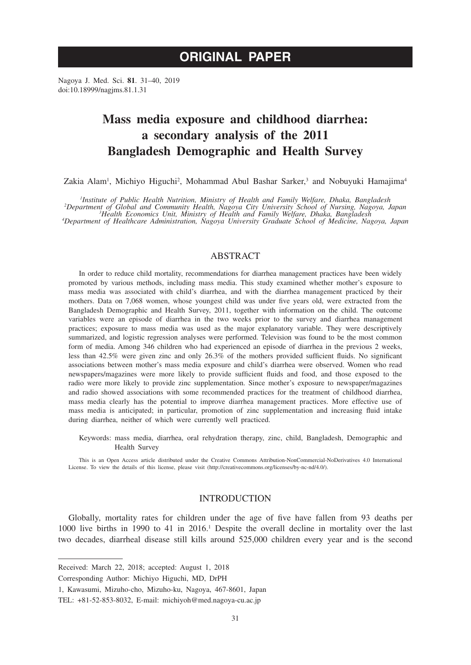Nagoya J. Med. Sci. **81**. 31–40, 2019 doi:10.18999/nagjms.81.1.31

# **Mass media exposure and childhood diarrhea: a secondary analysis of the 2011 Bangladesh Demographic and Health Survey**

Zakia Alam<sup>1</sup>, Michiyo Higuchi<sup>2</sup>, Mohammad Abul Bashar Sarker,<sup>3</sup> and Nobuyuki Hamajima<sup>4</sup>

Institute of Public Health Nutrition, Ministry of Health and Family Welfare, Dhaka, Bangladesh<br>Pepartment of Global and Community Health, Nagoya City University School of Nursing, Nagoya, Japan<sup>3</sup><br>Health and Earning Welfar

*Department of Healthcare Administration, Nagoya University Graduate School of Medicine, Nagoya, Japan*

# ABSTRACT

In order to reduce child mortality, recommendations for diarrhea management practices have been widely promoted by various methods, including mass media. This study examined whether mother's exposure to mass media was associated with child's diarrhea, and with the diarrhea management practiced by their mothers. Data on 7,068 women, whose youngest child was under five years old, were extracted from the Bangladesh Demographic and Health Survey, 2011, together with information on the child. The outcome variables were an episode of diarrhea in the two weeks prior to the survey and diarrhea management practices; exposure to mass media was used as the major explanatory variable. They were descriptively summarized, and logistic regression analyses were performed. Television was found to be the most common form of media. Among 346 children who had experienced an episode of diarrhea in the previous 2 weeks, less than 42.5% were given zinc and only 26.3% of the mothers provided sufficient fluids. No significant associations between mother's mass media exposure and child's diarrhea were observed. Women who read newspapers/magazines were more likely to provide sufficient fluids and food, and those exposed to the radio were more likely to provide zinc supplementation. Since mother's exposure to newspaper/magazines and radio showed associations with some recommended practices for the treatment of childhood diarrhea, mass media clearly has the potential to improve diarrhea management practices. More effective use of mass media is anticipated; in particular, promotion of zinc supplementation and increasing fluid intake during diarrhea, neither of which were currently well practiced.

Keywords: mass media, diarrhea, oral rehydration therapy, zinc, child, Bangladesh, Demographic and Health Survey

This is an Open Access article distributed under the Creative Commons Attribution-NonCommercial-NoDerivatives 4.0 International License. To view the details of this license, please visit (http://creativecommons.org/licenses/by-nc-nd/4.0/).

# INTRODUCTION

Globally, mortality rates for children under the age of five have fallen from 93 deaths per 1000 live births in 1990 to 41 in 2016.1 Despite the overall decline in mortality over the last two decades, diarrheal disease still kills around 525,000 children every year and is the second

Received: March 22, 2018; accepted: August 1, 2018

Corresponding Author: Michiyo Higuchi, MD, DrPH

<sup>1,</sup> Kawasumi, Mizuho-cho, Mizuho-ku, Nagoya, 467-8601, Japan

TEL: +81-52-853-8032, E-mail: michiyoh@med.nagoya-cu.ac.jp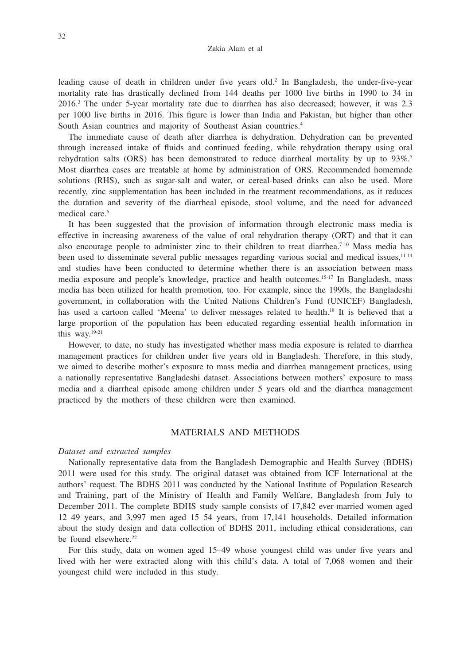leading cause of death in children under five years old.<sup>2</sup> In Bangladesh, the under-five-year mortality rate has drastically declined from 144 deaths per 1000 live births in 1990 to 34 in 2016.3 The under 5-year mortality rate due to diarrhea has also decreased; however, it was 2.3 per 1000 live births in 2016. This figure is lower than India and Pakistan, but higher than other South Asian countries and majority of Southeast Asian countries.<sup>4</sup>

The immediate cause of death after diarrhea is dehydration. Dehydration can be prevented through increased intake of fluids and continued feeding, while rehydration therapy using oral rehydration salts (ORS) has been demonstrated to reduce diarrheal mortality by up to  $93\%$ <sup>5</sup> Most diarrhea cases are treatable at home by administration of ORS. Recommended homemade solutions (RHS), such as sugar-salt and water, or cereal-based drinks can also be used. More recently, zinc supplementation has been included in the treatment recommendations, as it reduces the duration and severity of the diarrheal episode, stool volume, and the need for advanced medical care.<sup>6</sup>

It has been suggested that the provision of information through electronic mass media is effective in increasing awareness of the value of oral rehydration therapy (ORT) and that it can also encourage people to administer zinc to their children to treat diarrhea.<sup>7-10</sup> Mass media has been used to disseminate several public messages regarding various social and medical issues, <sup>11-14</sup> and studies have been conducted to determine whether there is an association between mass media exposure and people's knowledge, practice and health outcomes.15-17 In Bangladesh, mass media has been utilized for health promotion, too. For example, since the 1990s, the Bangladeshi government, in collaboration with the United Nations Children's Fund (UNICEF) Bangladesh, has used a cartoon called 'Meena' to deliver messages related to health.<sup>18</sup> It is believed that a large proportion of the population has been educated regarding essential health information in this way.19-21

However, to date, no study has investigated whether mass media exposure is related to diarrhea management practices for children under five years old in Bangladesh. Therefore, in this study, we aimed to describe mother's exposure to mass media and diarrhea management practices, using a nationally representative Bangladeshi dataset. Associations between mothers' exposure to mass media and a diarrheal episode among children under 5 years old and the diarrhea management practiced by the mothers of these children were then examined.

# MATERIALS AND METHODS

#### *Dataset and extracted samples*

Nationally representative data from the Bangladesh Demographic and Health Survey (BDHS) 2011 were used for this study. The original dataset was obtained from ICF International at the authors' request. The BDHS 2011 was conducted by the National Institute of Population Research and Training, part of the Ministry of Health and Family Welfare, Bangladesh from July to December 2011. The complete BDHS study sample consists of 17,842 ever-married women aged 12–49 years, and 3,997 men aged 15–54 years, from 17,141 households. Detailed information about the study design and data collection of BDHS 2011, including ethical considerations, can be found elsewhere.<sup>22</sup>

For this study, data on women aged 15–49 whose youngest child was under five years and lived with her were extracted along with this child's data. A total of 7,068 women and their youngest child were included in this study.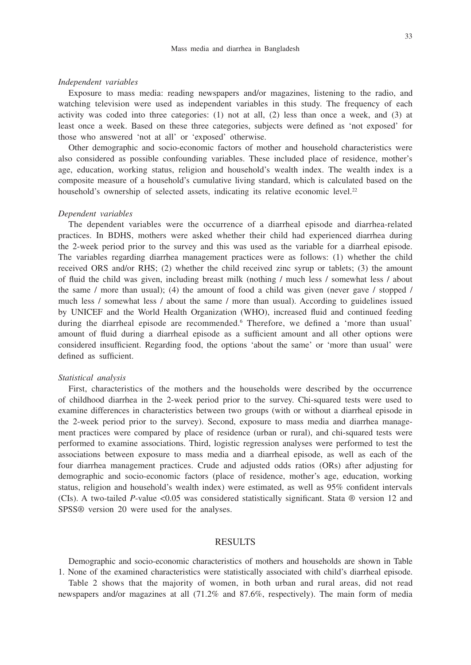### 33

#### *Independent variables*

Exposure to mass media: reading newspapers and/or magazines, listening to the radio, and watching television were used as independent variables in this study. The frequency of each activity was coded into three categories: (1) not at all, (2) less than once a week, and (3) at least once a week. Based on these three categories, subjects were defined as 'not exposed' for those who answered 'not at all' or 'exposed' otherwise.

Other demographic and socio-economic factors of mother and household characteristics were also considered as possible confounding variables. These included place of residence, mother's age, education, working status, religion and household's wealth index. The wealth index is a composite measure of a household's cumulative living standard, which is calculated based on the household's ownership of selected assets, indicating its relative economic level.<sup>22</sup>

#### *Dependent variables*

The dependent variables were the occurrence of a diarrheal episode and diarrhea-related practices. In BDHS, mothers were asked whether their child had experienced diarrhea during the 2-week period prior to the survey and this was used as the variable for a diarrheal episode. The variables regarding diarrhea management practices were as follows: (1) whether the child received ORS and/or RHS; (2) whether the child received zinc syrup or tablets; (3) the amount of fluid the child was given, including breast milk (nothing / much less / somewhat less / about the same / more than usual); (4) the amount of food a child was given (never gave / stopped / much less / somewhat less / about the same / more than usual). According to guidelines issued by UNICEF and the World Health Organization (WHO), increased fluid and continued feeding during the diarrheal episode are recommended.<sup>6</sup> Therefore, we defined a 'more than usual' amount of fluid during a diarrheal episode as a sufficient amount and all other options were considered insufficient. Regarding food, the options 'about the same' or 'more than usual' were defined as sufficient.

## *Statistical analysis*

First, characteristics of the mothers and the households were described by the occurrence of childhood diarrhea in the 2-week period prior to the survey. Chi-squared tests were used to examine differences in characteristics between two groups (with or without a diarrheal episode in the 2-week period prior to the survey). Second, exposure to mass media and diarrhea management practices were compared by place of residence (urban or rural), and chi-squared tests were performed to examine associations. Third, logistic regression analyses were performed to test the associations between exposure to mass media and a diarrheal episode, as well as each of the four diarrhea management practices. Crude and adjusted odds ratios (ORs) after adjusting for demographic and socio-economic factors (place of residence, mother's age, education, working status, religion and household's wealth index) were estimated, as well as 95% confident intervals (CIs). A two-tailed *P*-value <0.05 was considered statistically significant. Stata ® version 12 and SPSS® version 20 were used for the analyses.

## RESULTS

Demographic and socio-economic characteristics of mothers and households are shown in Table 1. None of the examined characteristics were statistically associated with child's diarrheal episode.

Table 2 shows that the majority of women, in both urban and rural areas, did not read newspapers and/or magazines at all (71.2% and 87.6%, respectively). The main form of media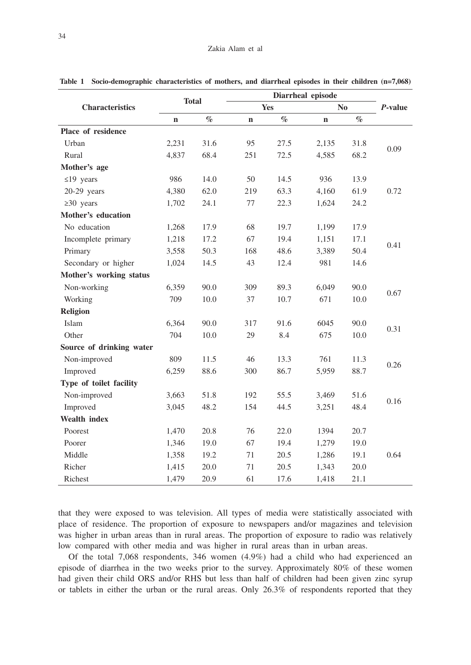|                          |             | <b>Total</b> |             |      | Diarrheal episode |      |            |
|--------------------------|-------------|--------------|-------------|------|-------------------|------|------------|
| <b>Characteristics</b>   |             |              |             | Yes  |                   | No   | $P$ -value |
|                          | $\mathbf n$ | $\%$         | $\mathbf n$ | $\%$ | $\mathbf n$       | $\%$ |            |
| Place of residence       |             |              |             |      |                   |      |            |
| Urban                    | 2,231       | 31.6         | 95          | 27.5 | 2,135             | 31.8 |            |
| Rural                    | 4,837       | 68.4         | 251         | 72.5 | 4,585             | 68.2 | 0.09       |
| Mother's age             |             |              |             |      |                   |      |            |
| $\leq$ 19 years          | 986         | 14.0         | 50          | 14.5 | 936               | 13.9 |            |
| $20-29$ years            | 4,380       | 62.0         | 219         | 63.3 | 4,160             | 61.9 | 0.72       |
| $\geq 30$ years          | 1,702       | 24.1         | 77          | 22.3 | 1,624             | 24.2 |            |
| Mother's education       |             |              |             |      |                   |      |            |
| No education             | 1,268       | 17.9         | 68          | 19.7 | 1,199             | 17.9 |            |
| Incomplete primary       | 1,218       | 17.2         | 67          | 19.4 | 1,151             | 17.1 |            |
| Primary                  | 3,558       | 50.3         | 168         | 48.6 | 3,389             | 50.4 | 0.41       |
| Secondary or higher      | 1,024       | 14.5         | 43          | 12.4 | 981               | 14.6 |            |
| Mother's working status  |             |              |             |      |                   |      |            |
| Non-working              | 6,359       | 90.0         | 309         | 89.3 | 6,049             | 90.0 |            |
| Working                  | 709         | 10.0         | 37          | 10.7 | 671               | 10.0 | 0.67       |
| <b>Religion</b>          |             |              |             |      |                   |      |            |
| Islam                    | 6,364       | 90.0         | 317         | 91.6 | 6045              | 90.0 |            |
| Other                    | 704         | 10.0         | 29          | 8.4  | 675               | 10.0 | 0.31       |
| Source of drinking water |             |              |             |      |                   |      |            |
| Non-improved             | 809         | 11.5         | 46          | 13.3 | 761               | 11.3 |            |
| Improved                 | 6,259       | 88.6         | 300         | 86.7 | 5,959             | 88.7 | 0.26       |
| Type of toilet facility  |             |              |             |      |                   |      |            |
| Non-improved             | 3,663       | 51.8         | 192         | 55.5 | 3,469             | 51.6 | 0.16       |
| Improved                 | 3,045       | 48.2         | 154         | 44.5 | 3,251             | 48.4 |            |
| Wealth index             |             |              |             |      |                   |      |            |
| Poorest                  | 1,470       | 20.8         | 76          | 22.0 | 1394              | 20.7 |            |
| Poorer                   | 1,346       | 19.0         | 67          | 19.4 | 1,279             | 19.0 |            |
| Middle                   | 1,358       | 19.2         | 71          | 20.5 | 1,286             | 19.1 | 0.64       |
| Richer                   | 1,415       | 20.0         | 71          | 20.5 | 1,343             | 20.0 |            |
| Richest                  | 1,479       | 20.9         | 61          | 17.6 | 1,418             | 21.1 |            |

**Table 1 Socio-demographic characteristics of mothers, and diarrheal episodes in their children (n=7,068)**

that they were exposed to was television. All types of media were statistically associated with place of residence. The proportion of exposure to newspapers and/or magazines and television was higher in urban areas than in rural areas. The proportion of exposure to radio was relatively low compared with other media and was higher in rural areas than in urban areas.

Of the total 7,068 respondents, 346 women (4.9%) had a child who had experienced an episode of diarrhea in the two weeks prior to the survey. Approximately 80% of these women had given their child ORS and/or RHS but less than half of children had been given zinc syrup or tablets in either the urban or the rural areas. Only 26.3% of respondents reported that they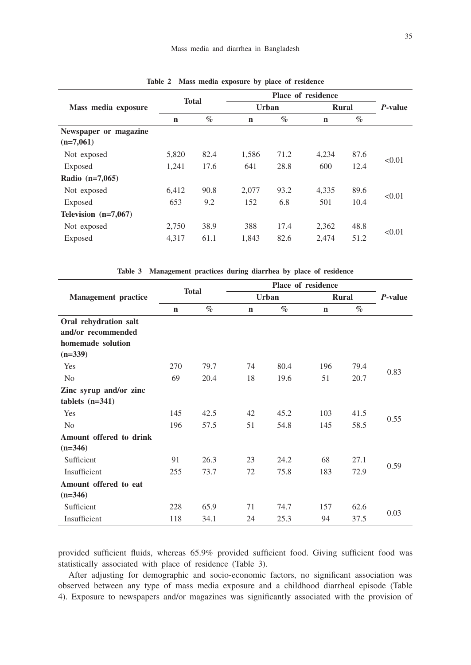|                                      |              |      |             |              | Place of residence |      |         |
|--------------------------------------|--------------|------|-------------|--------------|--------------------|------|---------|
| Mass media exposure                  | <b>Total</b> |      |             | <b>Urban</b> | <b>Rural</b>       |      | P-value |
|                                      | $\mathbf n$  | $\%$ | $\mathbf n$ | $\%$         | $\mathbf n$        | $\%$ |         |
| Newspaper or magazine<br>$(n=7,061)$ |              |      |             |              |                    |      |         |
| Not exposed                          | 5,820        | 82.4 | 1,586       | 71.2         | 4,234              | 87.6 |         |
| Exposed                              | 1,241        | 17.6 | 641         | 28.8         | 600                | 12.4 | < 0.01  |
| Radio $(n=7,065)$                    |              |      |             |              |                    |      |         |
| Not exposed                          | 6,412        | 90.8 | 2,077       | 93.2         | 4,335              | 89.6 | < 0.01  |
| Exposed                              | 653          | 9.2  | 152         | 6.8          | 501                | 10.4 |         |
| Television $(n=7,067)$               |              |      |             |              |                    |      |         |
| Not exposed                          | 2,750        | 38.9 | 388         | 17.4         | 2,362              | 48.8 |         |
| Exposed                              | 4,317        | 61.1 | 1,843       | 82.6         | 2,474              | 51.2 | < 0.01  |

**Table 2 Mass media exposure by place of residence**

**Table 3 Management practices during diarrhea by place of residence**

|                            |             |              |             |              | Place of residence |              |         |
|----------------------------|-------------|--------------|-------------|--------------|--------------------|--------------|---------|
| <b>Management</b> practice |             | <b>Total</b> |             | <b>Urban</b> |                    | <b>Rural</b> | P-value |
|                            | $\mathbf n$ | $\%$         | $\mathbf n$ | $\%$         | $\mathbf n$        | $\%$         |         |
| Oral rehydration salt      |             |              |             |              |                    |              |         |
| and/or recommended         |             |              |             |              |                    |              |         |
| homemade solution          |             |              |             |              |                    |              |         |
| $(n=339)$                  |             |              |             |              |                    |              |         |
| Yes                        | 270         | 79.7         | 74          | 80.4         | 196                | 79.4         |         |
| N <sub>0</sub>             | 69          | 20.4         | 18          | 19.6         | 51                 | 20.7         | 0.83    |
| Zinc syrup and/or zinc     |             |              |             |              |                    |              |         |
| tablets $(n=341)$          |             |              |             |              |                    |              |         |
| Yes                        | 145         | 42.5         | 42          | 45.2         | 103                | 41.5         |         |
| N <sub>0</sub>             | 196         | 57.5         | 51          | 54.8         | 145                | 58.5         | 0.55    |
| Amount offered to drink    |             |              |             |              |                    |              |         |
| $(n=346)$                  |             |              |             |              |                    |              |         |
| Sufficient                 | 91          | 26.3         | 23          | 24.2         | 68                 | 27.1         |         |
| Insufficient               | 255         | 73.7         | 72          | 75.8         | 183                | 72.9         | 0.59    |
| Amount offered to eat      |             |              |             |              |                    |              |         |
| $(n=346)$                  |             |              |             |              |                    |              |         |
| Sufficient                 | 228         | 65.9         | 71          | 74.7         | 157                | 62.6         |         |
| Insufficient               | 118         | 34.1         | 24          | 25.3         | 94                 | 37.5         | 0.03    |

provided sufficient fluids, whereas 65.9% provided sufficient food. Giving sufficient food was statistically associated with place of residence (Table 3).

After adjusting for demographic and socio-economic factors, no significant association was observed between any type of mass media exposure and a childhood diarrheal episode (Table 4). Exposure to newspapers and/or magazines was significantly associated with the provision of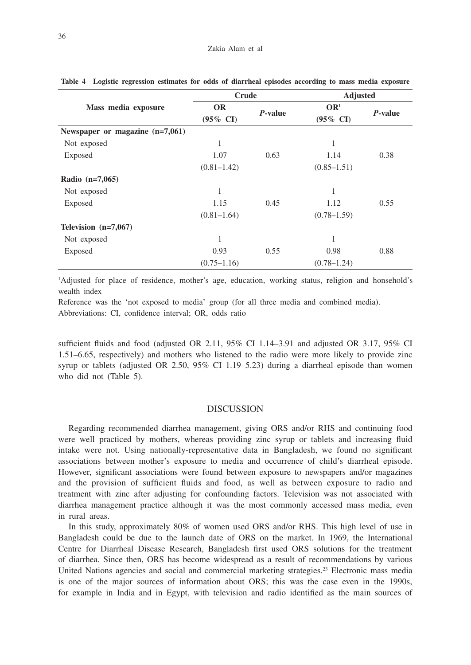|                                 | <b>Crude</b>        |         | Adjusted            |         |
|---------------------------------|---------------------|---------|---------------------|---------|
| Mass media exposure             | <b>OR</b>           | P-value | OR <sup>1</sup>     | P-value |
|                                 | $(95\% \text{ CI})$ |         | $(95\% \text{ CI})$ |         |
| Newspaper or magazine (n=7,061) |                     |         |                     |         |
| Not exposed                     | 1                   |         | 1                   |         |
| Exposed                         | 1.07                | 0.63    | 1.14                | 0.38    |
|                                 | $(0.81 - 1.42)$     |         | $(0.85 - 1.51)$     |         |
| Radio $(n=7,065)$               |                     |         |                     |         |
| Not exposed                     | 1                   |         | 1                   |         |
| Exposed                         | 1.15                | 0.45    | 1.12                | 0.55    |
|                                 | $(0.81 - 1.64)$     |         | $(0.78 - 1.59)$     |         |
| Television $(n=7,067)$          |                     |         |                     |         |
| Not exposed                     | 1                   |         | 1                   |         |
| Exposed                         | 0.93                | 0.55    | 0.98                | 0.88    |
|                                 | $(0.75 - 1.16)$     |         | $(0.78 - 1.24)$     |         |

**Table 4 Logistic regression estimates for odds of diarrheal episodes according to mass media exposure**

1 Adjusted for place of residence, mother's age, education, working status, religion and honsehold's wealth index

Reference was the 'not exposed to media' group (for all three media and combined media). Abbreviations: CI, confidence interval; OR, odds ratio

sufficient fluids and food (adjusted OR 2.11, 95% CI 1.14–3.91 and adjusted OR 3.17, 95% CI 1.51–6.65, respectively) and mothers who listened to the radio were more likely to provide zinc syrup or tablets (adjusted OR 2.50, 95% CI 1.19–5.23) during a diarrheal episode than women who did not (Table 5).

## DISCUSSION

Regarding recommended diarrhea management, giving ORS and/or RHS and continuing food were well practiced by mothers, whereas providing zinc syrup or tablets and increasing fluid intake were not. Using nationally-representative data in Bangladesh, we found no significant associations between mother's exposure to media and occurrence of child's diarrheal episode. However, significant associations were found between exposure to newspapers and/or magazines and the provision of sufficient fluids and food, as well as between exposure to radio and treatment with zinc after adjusting for confounding factors. Television was not associated with diarrhea management practice although it was the most commonly accessed mass media, even in rural areas.

In this study, approximately 80% of women used ORS and/or RHS. This high level of use in Bangladesh could be due to the launch date of ORS on the market. In 1969, the International Centre for Diarrheal Disease Research, Bangladesh first used ORS solutions for the treatment of diarrhea. Since then, ORS has become widespread as a result of recommendations by various United Nations agencies and social and commercial marketing strategies.<sup>23</sup> Electronic mass media is one of the major sources of information about ORS; this was the case even in the 1990s, for example in India and in Egypt, with television and radio identified as the main sources of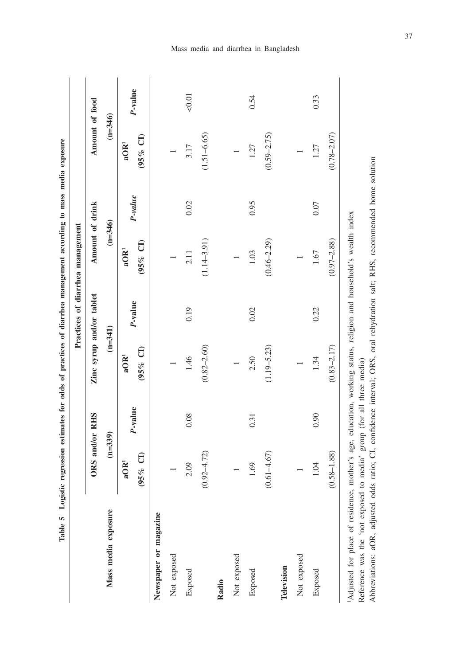|                       |                               |         |                                        |         | Practices of diarrhea management |         |                               |         |
|-----------------------|-------------------------------|---------|----------------------------------------|---------|----------------------------------|---------|-------------------------------|---------|
|                       | ORS and/or RHS                |         | Zinc syrup and/or tablet               |         | Amount of drink                  |         | Amount of food                |         |
| Mass media exposure   | $(n=339)$                     |         | $(n=341)$                              |         | $(n=346)$                        |         | $(n=346)$                     |         |
|                       | $95%$ CI)<br>aOR <sup>1</sup> | P-value | $(95% \text{ Cl})$<br>aOR <sup>1</sup> | P-value | $(95%$ CI)<br>aOR <sup>1</sup>   | P-value | $(95%$ CI<br>aOR <sup>1</sup> | P-value |
| Newspaper or magazine |                               |         |                                        |         |                                  |         |                               |         |
| Not exposed           |                               |         |                                        |         |                                  |         |                               |         |
| Exposed               | 2.09                          | 0.08    | 1.46                                   | 0.19    | 2.11                             | 0.02    | 3.17                          | 50.01   |
|                       | $0.92 - 4.72$                 |         | $(0.82 - 2.60)$                        |         | $(1.14 - 3.91)$                  |         | $(1.51 - 6.65)$               |         |
| Radio                 |                               |         |                                        |         |                                  |         |                               |         |
| Not exposed           |                               |         |                                        |         |                                  |         |                               |         |
| Exposed               | 1.69                          | 0.31    | 2.50                                   | 0.02    | 1.03                             | 0.95    | 1.27                          | 0.54    |
|                       | $(0.61 - 4.67)$               |         | $(1.19 - 5.23)$                        |         | $(0.46 - 2.29)$                  |         | $(0.59 - 2.75)$               |         |
| Television            |                               |         |                                        |         |                                  |         |                               |         |
| Not exposed           |                               |         |                                        |         |                                  |         |                               |         |
| Exposed               | 1.04                          | 0.90    | 1.34                                   | 0.22    | 1.67                             | 0.07    | 1.27                          | 0.33    |
|                       | $(0.58 - 1.88)$               |         | $(0.83 - 2.17)$                        |         | $(0.97 - 2.88)$                  |         | $(0.78 - 2.07)$               |         |

Mass media and diarrhea in Bangladesh

37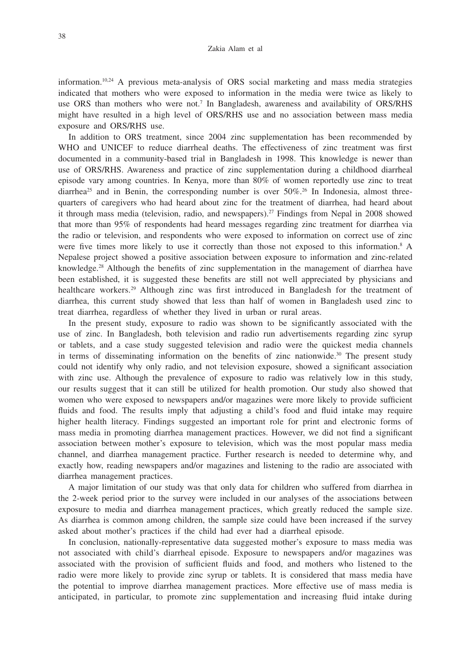information.10,24 A previous meta-analysis of ORS social marketing and mass media strategies indicated that mothers who were exposed to information in the media were twice as likely to use ORS than mothers who were not.<sup>7</sup> In Bangladesh, awareness and availability of ORS/RHS might have resulted in a high level of ORS/RHS use and no association between mass media exposure and ORS/RHS use.

In addition to ORS treatment, since 2004 zinc supplementation has been recommended by WHO and UNICEF to reduce diarrheal deaths. The effectiveness of zinc treatment was first documented in a community-based trial in Bangladesh in 1998. This knowledge is newer than use of ORS/RHS. Awareness and practice of zinc supplementation during a childhood diarrheal episode vary among countries. In Kenya, more than 80% of women reportedly use zinc to treat diarrhea<sup>25</sup> and in Benin, the corresponding number is over  $50\%$ .<sup>26</sup> In Indonesia, almost threequarters of caregivers who had heard about zinc for the treatment of diarrhea, had heard about it through mass media (television, radio, and newspapers).27 Findings from Nepal in 2008 showed that more than 95% of respondents had heard messages regarding zinc treatment for diarrhea via the radio or television, and respondents who were exposed to information on correct use of zinc were five times more likely to use it correctly than those not exposed to this information.<sup>8</sup> A Nepalese project showed a positive association between exposure to information and zinc-related knowledge.<sup>28</sup> Although the benefits of zinc supplementation in the management of diarrhea have been established, it is suggested these benefits are still not well appreciated by physicians and healthcare workers.29 Although zinc was first introduced in Bangladesh for the treatment of diarrhea, this current study showed that less than half of women in Bangladesh used zinc to treat diarrhea, regardless of whether they lived in urban or rural areas.

In the present study, exposure to radio was shown to be significantly associated with the use of zinc. In Bangladesh, both television and radio run advertisements regarding zinc syrup or tablets, and a case study suggested television and radio were the quickest media channels in terms of disseminating information on the benefits of zinc nationwide.<sup>30</sup> The present study could not identify why only radio, and not television exposure, showed a significant association with zinc use. Although the prevalence of exposure to radio was relatively low in this study, our results suggest that it can still be utilized for health promotion. Our study also showed that women who were exposed to newspapers and/or magazines were more likely to provide sufficient fluids and food. The results imply that adjusting a child's food and fluid intake may require higher health literacy. Findings suggested an important role for print and electronic forms of mass media in promoting diarrhea management practices. However, we did not find a significant association between mother's exposure to television, which was the most popular mass media channel, and diarrhea management practice. Further research is needed to determine why, and exactly how, reading newspapers and/or magazines and listening to the radio are associated with diarrhea management practices.

A major limitation of our study was that only data for children who suffered from diarrhea in the 2-week period prior to the survey were included in our analyses of the associations between exposure to media and diarrhea management practices, which greatly reduced the sample size. As diarrhea is common among children, the sample size could have been increased if the survey asked about mother's practices if the child had ever had a diarrheal episode.

In conclusion, nationally-representative data suggested mother's exposure to mass media was not associated with child's diarrheal episode. Exposure to newspapers and/or magazines was associated with the provision of sufficient fluids and food, and mothers who listened to the radio were more likely to provide zinc syrup or tablets. It is considered that mass media have the potential to improve diarrhea management practices. More effective use of mass media is anticipated, in particular, to promote zinc supplementation and increasing fluid intake during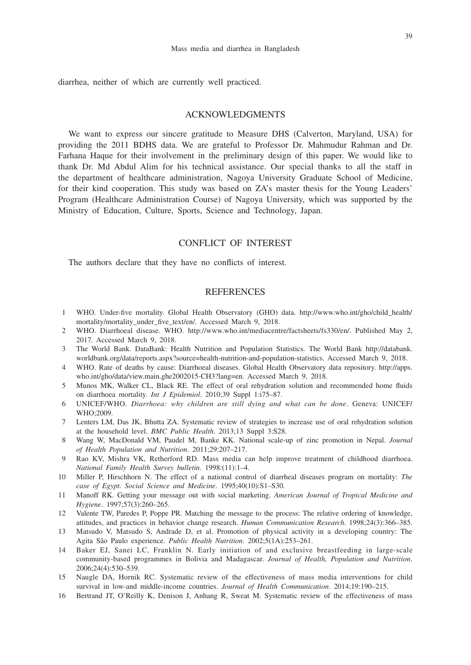diarrhea, neither of which are currently well practiced.

## ACKNOWLEDGMENTS

We want to express our sincere gratitude to Measure DHS (Calverton, Maryland, USA) for providing the 2011 BDHS data. We are grateful to Professor Dr. Mahmudur Rahman and Dr. Farhana Haque for their involvement in the preliminary design of this paper. We would like to thank Dr. Md Abdul Alim for his technical assistance. Our special thanks to all the staff in the department of healthcare administration, Nagoya University Graduate School of Medicine, for their kind cooperation. This study was based on ZA's master thesis for the Young Leaders' Program (Healthcare Administration Course) of Nagoya University, which was supported by the Ministry of Education, Culture, Sports, Science and Technology, Japan.

## CONFLICT OF INTEREST

The authors declare that they have no conflicts of interest.

# **REFERENCES**

- 1 WHO. Under-five mortality. Global Health Observatory (GHO) data. http://www.who.int/gho/child\_health/ mortality/mortality\_under\_five\_text/en/. Accessed March 9, 2018.
- 2 WHO. Diarrhoeal disease. WHO. http://www.who.int/mediacentre/factsheets/fs330/en/. Published May 2, 2017. Accessed March 9, 2018.
- 3 The World Bank. DataBank: Health Nutrition and Population Statistics. The World Bank http://databank. worldbank.org/data/reports.aspx?source=health-nutrition-and-population-statistics. Accessed March 9, 2018.
- 4 WHO. Rate of deaths by cause: Diarrhoeal diseases. Global Health Observatory data repository. http://apps. who.int/gho/data/view.main.ghe2002015-CH3?lang=en. Accessed March 9, 2018.
- 5 Munos MK, Walker CL, Black RE. The effect of oral rehydration solution and recommended home fluids on diarrhoea mortality. *Int J Epidemiol*. 2010;39 Suppl 1:i75–87.
- 6 UNICEF/WHO. *Diarrhoea: why children are still dying and what can be done*. Geneva: UNICEF/ WHO;2009.
- 7 Lenters LM, Das JK, Bhutta ZA. Systematic review of strategies to increase use of oral rehydration solution at the household level. *BMC Public Health*. 2013;13 Suppl 3:S28.
- 8 Wang W, MacDonald VM, Paudel M, Banke KK. National scale-up of zinc promotion in Nepal. *Journal of Health Population and Nutrition*. 2011;29:207–217.
- Rao KV, Mishra VK, Retherford RD. Mass media can help improve treatment of childhood diarrhoea. *National Family Health Survey bulletin*. 1998:(11):1–4.
- 10 Miller P, Hirschhorn N. The effect of a national control of diarrheal diseases program on mortality: *The case of Egypt. Social Science and Medicine*. 1995;40(10):S1–S30.
- 11 Manoff RK. Getting your message out with social marketing. *American Journal of Tropical Medicine and Hygiene*. 1997;57(3):260–265.
- 12 Valente TW, Paredes P, Poppe PR. Matching the message to the process: The relative ordering of knowledge, attitudes, and practices in behavior change research. *Human Communication Research*. 1998;24(3):366–385.
- 13 Matsudo V, Matsudo S, Andrade D, et al. Promotion of physical activity in a developing country: The Agita São Paulo experience. *Public Health Nutrition*. 2002;5(1A):253–261.
- 14 Baker EJ, Sanei LC, Franklin N. Early initiation of and exclusive breastfeeding in large-scale community-based programmes in Bolivia and Madagascar. *Journal of Health, Population and Nutrition*. 2006;24(4):530–539.
- 15 Naugle DA, Hornik RC. Systematic review of the effectiveness of mass media interventions for child survival in low-and middle-income countries. *Journal of Health Communication*. 2014;19:190–215.
- 16 Bertrand JT, O'Reilly K, Denison J, Anhang R, Sweat M. Systematic review of the effectiveness of mass